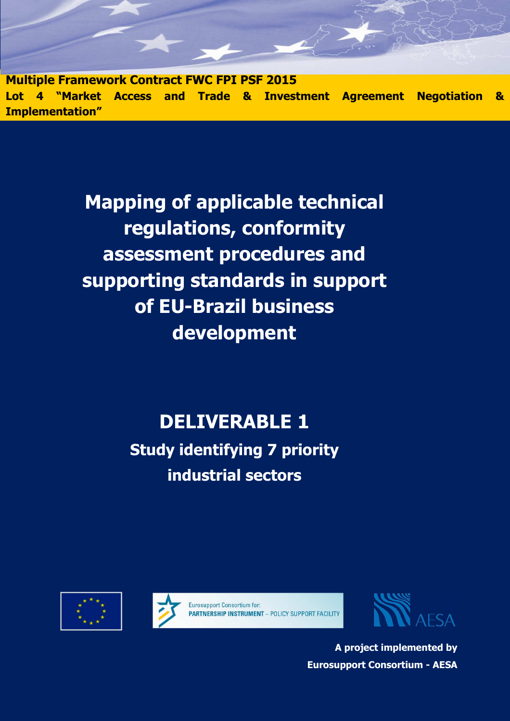**Multiple Framework Contract FWC FPI PSF 2015 Lot 4 "Market Access and Trade & Investment Agreement Negotiation & Implementation"** 

> **Mapping of applicable technical regulations, conformity assessment procedures and supporting standards in support of EU-Brazil business development**

# **DELIVERABLE 1**

**Study identifying 7 priority industrial sectors** 







**A project implemented by Eurosupport Consortium - AESA**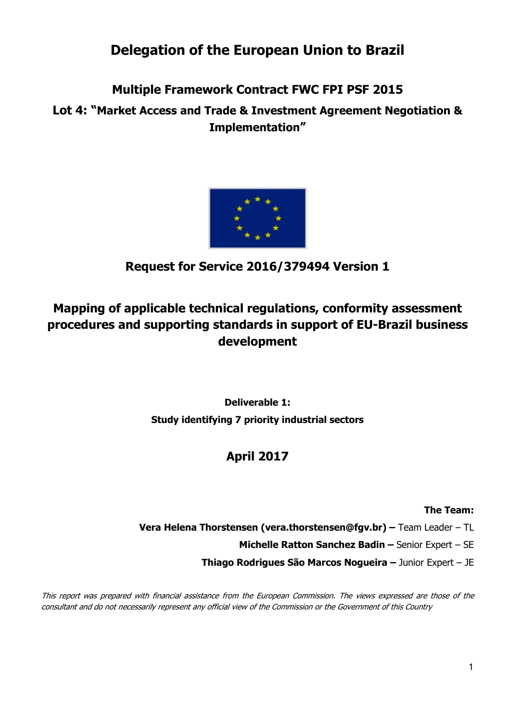## **Delegation of the European Union to Brazil**

## **Multiple Framework Contract FWC FPI PSF 2015**

**Lot 4: "Market Access and Trade & Investment Agreement Negotiation & Implementation"** 



## **Request for Service 2016/379494 Version 1**

## **Mapping of applicable technical regulations, conformity assessment procedures and supporting standards in support of EU-Brazil business development**

**Deliverable 1: Study identifying 7 priority industrial sectors** 

## **April 2017**

### **The Team:**

- **Vera Helena Thorstensen (vera.thorstensen@fgv.br) –** Team Leader TL
	- **Michelle Ratton Sanchez Badin** Senior Expert SE
	- **Thiago Rodrigues São Marcos Nogueira** Junior Expert JE

This report was prepared with financial assistance from the European Commission. The views expressed are those of the consultant and do not necessarily represent any official view of the Commission or the Government of this Country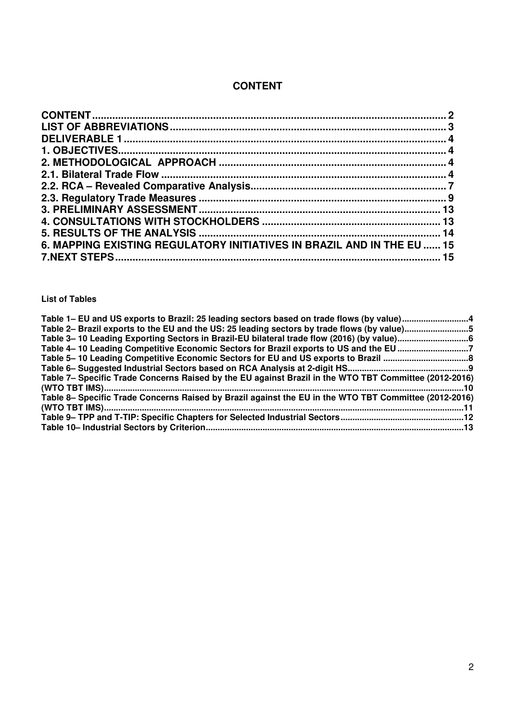## **CONTENT**

| 6. MAPPING EXISTING REGULATORY INITIATIVES IN BRAZIL AND IN THE EU  15 |  |
|------------------------------------------------------------------------|--|
|                                                                        |  |
|                                                                        |  |

#### **List of Tables**

| Table 1– EU and US exports to Brazil: 25 leading sectors based on trade flows (by value)4             |  |
|-------------------------------------------------------------------------------------------------------|--|
| Table 2– Brazil exports to the EU and the US: 25 leading sectors by trade flows (by value)5           |  |
|                                                                                                       |  |
| Table 4-10 Leading Competitive Economic Sectors for Brazil exports to US and the EU 7                 |  |
|                                                                                                       |  |
|                                                                                                       |  |
| Table 7– Specific Trade Concerns Raised by the EU against Brazil in the WTO TBT Committee (2012-2016) |  |
|                                                                                                       |  |
| Table 8- Specific Trade Concerns Raised by Brazil against the EU in the WTO TBT Committee (2012-2016) |  |
|                                                                                                       |  |
|                                                                                                       |  |
|                                                                                                       |  |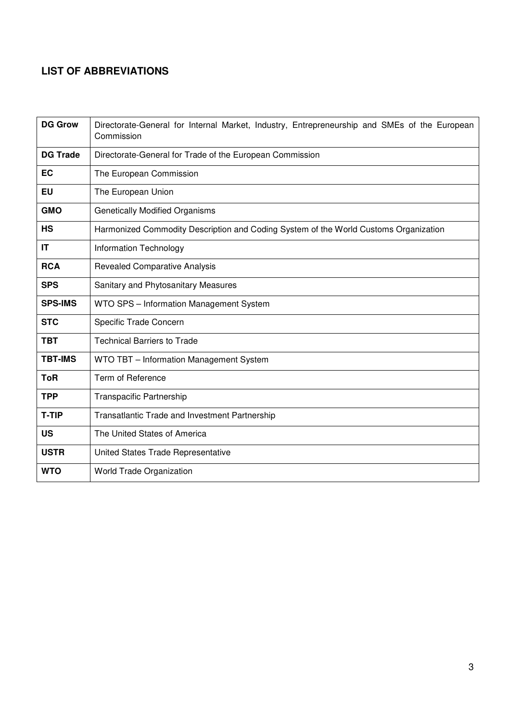## **LIST OF ABBREVIATIONS**

| <b>DG Grow</b>  | Directorate-General for Internal Market, Industry, Entrepreneurship and SMEs of the European<br>Commission |  |  |  |  |  |  |
|-----------------|------------------------------------------------------------------------------------------------------------|--|--|--|--|--|--|
| <b>DG Trade</b> | Directorate-General for Trade of the European Commission                                                   |  |  |  |  |  |  |
| EC              | The European Commission                                                                                    |  |  |  |  |  |  |
| EU              | The European Union                                                                                         |  |  |  |  |  |  |
| <b>GMO</b>      | <b>Genetically Modified Organisms</b>                                                                      |  |  |  |  |  |  |
| <b>HS</b>       | Harmonized Commodity Description and Coding System of the World Customs Organization                       |  |  |  |  |  |  |
| IT              | Information Technology                                                                                     |  |  |  |  |  |  |
| <b>RCA</b>      | <b>Revealed Comparative Analysis</b>                                                                       |  |  |  |  |  |  |
| <b>SPS</b>      | Sanitary and Phytosanitary Measures                                                                        |  |  |  |  |  |  |
| <b>SPS-IMS</b>  | WTO SPS - Information Management System                                                                    |  |  |  |  |  |  |
| <b>STC</b>      | Specific Trade Concern                                                                                     |  |  |  |  |  |  |
| <b>TBT</b>      | <b>Technical Barriers to Trade</b>                                                                         |  |  |  |  |  |  |
| <b>TBT-IMS</b>  | WTO TBT - Information Management System                                                                    |  |  |  |  |  |  |
| <b>ToR</b>      | Term of Reference                                                                                          |  |  |  |  |  |  |
| <b>TPP</b>      | Transpacific Partnership                                                                                   |  |  |  |  |  |  |
| <b>T-TIP</b>    | Transatlantic Trade and Investment Partnership                                                             |  |  |  |  |  |  |
| <b>US</b>       | The United States of America                                                                               |  |  |  |  |  |  |
| <b>USTR</b>     | United States Trade Representative                                                                         |  |  |  |  |  |  |
| <b>WTO</b>      | World Trade Organization                                                                                   |  |  |  |  |  |  |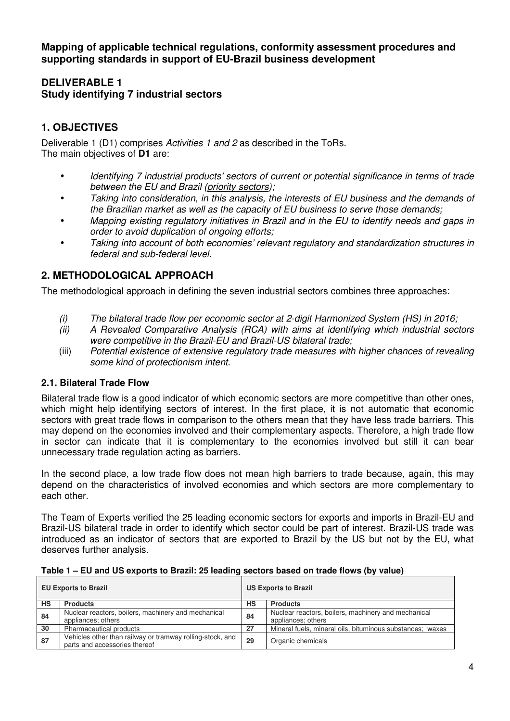**Mapping of applicable technical regulations, conformity assessment procedures and supporting standards in support of EU-Brazil business development** 

### **DELIVERABLE 1 Study identifying 7 industrial sectors**

## **1. OBJECTIVES**

Deliverable 1 (D1) comprises *Activities 1 and 2* as described in the ToRs. The main objectives of **D1** are:

- *Identifying 7 industrial products' sectors of current or potential significance in terms of trade between the EU and Brazil (priority sectors);*
- *Taking into consideration, in this analysis, the interests of EU business and the demands of the Brazilian market as well as the capacity of EU business to serve those demands;*
- *Mapping existing regulatory initiatives in Brazil and in the EU to identify needs and gaps in order to avoid duplication of ongoing efforts;*
- *Taking into account of both economies' relevant regulatory and standardization structures in federal and sub-federal level.*

## **2. METHODOLOGICAL APPROACH**

The methodological approach in defining the seven industrial sectors combines three approaches:

- *(i) The bilateral trade flow per economic sector at 2-digit Harmonized System (HS) in 2016;*
- *(ii) A Revealed Comparative Analysis (RCA) with aims at identifying which industrial sectors were competitive in the Brazil-EU and Brazil-US bilateral trade;*
- (iii) *Potential existence of extensive regulatory trade measures with higher chances of revealing some kind of protectionism intent*.

#### **2.1. Bilateral Trade Flow**

Bilateral trade flow is a good indicator of which economic sectors are more competitive than other ones, which might help identifying sectors of interest. In the first place, it is not automatic that economic sectors with great trade flows in comparison to the others mean that they have less trade barriers. This may depend on the economies involved and their complementary aspects. Therefore, a high trade flow in sector can indicate that it is complementary to the economies involved but still it can bear unnecessary trade regulation acting as barriers.

In the second place, a low trade flow does not mean high barriers to trade because, again, this may depend on the characteristics of involved economies and which sectors are more complementary to each other.

The Team of Experts verified the 25 leading economic sectors for exports and imports in Brazil-EU and Brazil-US bilateral trade in order to identify which sector could be part of interest. Brazil-US trade was introduced as an indicator of sectors that are exported to Brazil by the US but not by the EU, what deserves further analysis.

| <b>EU Exports to Brazil</b> |                                                                                            | <b>US Exports to Brazil</b> |                                                                           |
|-----------------------------|--------------------------------------------------------------------------------------------|-----------------------------|---------------------------------------------------------------------------|
| HS                          | <b>Products</b>                                                                            | НS                          | <b>Products</b>                                                           |
| 84                          | Nuclear reactors, boilers, machinery and mechanical<br>appliances; others                  | 84                          | Nuclear reactors, boilers, machinery and mechanical<br>appliances; others |
| 30                          | Pharmaceutical products                                                                    | 27                          | Mineral fuels, mineral oils, bituminous substances; waxes                 |
| 87                          | Vehicles other than railway or tramway rolling-stock, and<br>parts and accessories thereof | 29                          | Organic chemicals                                                         |

#### **Table 1 – EU and US exports to Brazil: 25 leading sectors based on trade flows (by value)**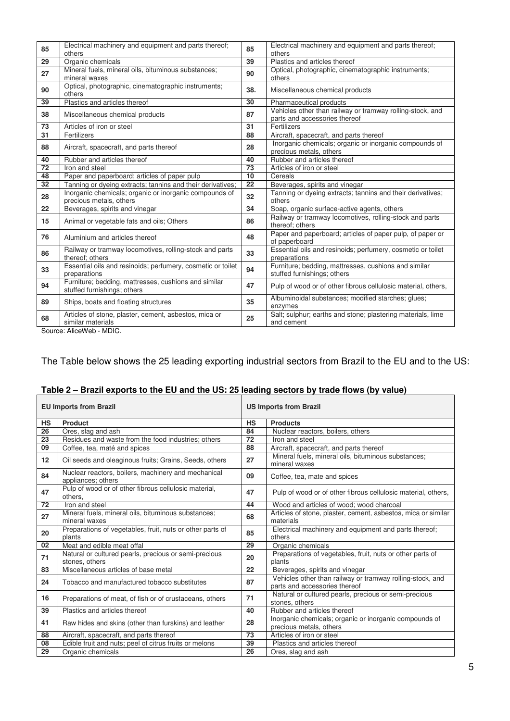| 85              | Electrical machinery and equipment and parts thereof;<br>others                     | 85                                                                               | Electrical machinery and equipment and parts thereof;<br>others                            |
|-----------------|-------------------------------------------------------------------------------------|----------------------------------------------------------------------------------|--------------------------------------------------------------------------------------------|
| $\overline{29}$ | Organic chemicals                                                                   | 39                                                                               | Plastics and articles thereof                                                              |
| 27              | Mineral fuels, mineral oils, bituminous substances;<br>mineral waxes                | 90                                                                               | Optical, photographic, cinematographic instruments;<br>others                              |
| 90              | Optical, photographic, cinematographic instruments;<br>others                       | 38.                                                                              | Miscellaneous chemical products                                                            |
| 39              | Plastics and articles thereof                                                       | 30                                                                               | Pharmaceutical products                                                                    |
| 38              | Miscellaneous chemical products                                                     | 87                                                                               | Vehicles other than railway or tramway rolling-stock, and<br>parts and accessories thereof |
| 73              | Articles of iron or steel                                                           | 31                                                                               | Fertilizers                                                                                |
| $\overline{31}$ | Fertilizers                                                                         | 88                                                                               | Aircraft, spacecraft, and parts thereof                                                    |
| 88              | Aircraft, spacecraft, and parts thereof                                             | 28                                                                               | Inorganic chemicals; organic or inorganic compounds of<br>precious metals, others          |
| 40              | Rubber and articles thereof                                                         | 40                                                                               | Rubber and articles thereof                                                                |
| 72              | Iron and steel                                                                      | 73                                                                               | Articles of iron or steel                                                                  |
| 48              | Paper and paperboard; articles of paper pulp                                        | 10                                                                               | Cereals                                                                                    |
| 32              | Tanning or dyeing extracts; tannins and their derivatives;                          | 22                                                                               | Beverages, spirits and vinegar                                                             |
| 28              | Inorganic chemicals; organic or inorganic compounds of<br>precious metals, others   | 32                                                                               | Tanning or dyeing extracts; tannins and their derivatives;<br>others                       |
| $\overline{22}$ | Beverages, spirits and vinegar                                                      | 34                                                                               | Soap, organic surface-active agents, others                                                |
| 15              | Animal or vegetable fats and oils; Others                                           | Railway or tramway locomotives, rolling-stock and parts<br>86<br>thereof; others |                                                                                            |
| 76              | Aluminium and articles thereof                                                      | 48                                                                               | Paper and paperboard; articles of paper pulp, of paper or<br>of paperboard                 |
| 86              | Railway or tramway locomotives, rolling-stock and parts<br>thereof; others          | 33                                                                               | Essential oils and resinoids; perfumery, cosmetic or toilet<br>preparations                |
| 33              | Essential oils and resinoids; perfumery, cosmetic or toilet<br>preparations         | 94                                                                               | Furniture; bedding, mattresses, cushions and similar<br>stuffed furnishings; others        |
| 94              | Furniture; bedding, mattresses, cushions and similar<br>stuffed furnishings; others | 47                                                                               | Pulp of wood or of other fibrous cellulosic material, others,                              |
| 89              | Ships, boats and floating structures                                                | 35                                                                               | Albuminoidal substances; modified starches; glues;<br>enzymes                              |
| 68              | Articles of stone, plaster, cement, asbestos, mica or<br>similar materials          | 25                                                                               | Salt; sulphur; earths and stone; plastering materials, lime<br>and cement                  |

Source: AliceWeb - MDIC.

#### The Table below shows the 25 leading exporting industrial sectors from Brazil to the EU and to the US:

# **Table 2 – Brazil exports to the EU and the US: 25 leading sectors by trade flows (by value)**

|           | <b>EU Imports from Brazil</b>                                             | <b>US Imports from Brazil</b> |                                                                                            |
|-----------|---------------------------------------------------------------------------|-------------------------------|--------------------------------------------------------------------------------------------|
| <b>HS</b> | <b>Product</b>                                                            | <b>HS</b>                     | <b>Products</b>                                                                            |
| 26        | Ores, slag and ash                                                        | 84                            | Nuclear reactors, boilers, others                                                          |
| 23        | Residues and waste from the food industries; others                       | 72                            | Iron and steel                                                                             |
| 09        | Coffee, tea, maté and spices                                              | 88                            | Aircraft, spacecraft, and parts thereof                                                    |
| 12        | Oil seeds and oleaginous fruits; Grains, Seeds, others                    | 27                            | Mineral fuels, mineral oils, bituminous substances;<br>mineral waxes                       |
| 84        | Nuclear reactors, boilers, machinery and mechanical<br>appliances; others | 09                            | Coffee, tea, mate and spices                                                               |
| 47        | Pulp of wood or of other fibrous cellulosic material,<br>others.          | 47                            | Pulp of wood or of other fibrous cellulosic material, others,                              |
| 72        | Iron and steel                                                            | 44                            | Wood and articles of wood; wood charcoal                                                   |
| 27        | Mineral fuels, mineral oils, bituminous substances;<br>mineral waxes      | 68                            | Articles of stone, plaster, cement, asbestos, mica or similar<br>materials                 |
| 20        | Preparations of vegetables, fruit, nuts or other parts of<br>plants       | 85                            | Electrical machinery and equipment and parts thereof;<br>others                            |
| 02        | Meat and edible meat offal                                                | 29                            | Organic chemicals                                                                          |
| 71        | Natural or cultured pearls, precious or semi-precious<br>stones, others   | 20                            | Preparations of vegetables, fruit, nuts or other parts of<br>plants                        |
| 83        | Miscellaneous articles of base metal                                      | 22                            | Beverages, spirits and vinegar                                                             |
| 24        | Tobacco and manufactured tobacco substitutes                              | 87                            | Vehicles other than railway or tramway rolling-stock, and<br>parts and accessories thereof |
| 16        | Preparations of meat, of fish or of crustaceans, others                   | 71                            | Natural or cultured pearls, precious or semi-precious<br>stones, others                    |
| 39        | Plastics and articles thereof                                             | 40                            | Rubber and articles thereof                                                                |
| 41        | Raw hides and skins (other than furskins) and leather                     | 28                            | Inorganic chemicals; organic or inorganic compounds of<br>precious metals, others          |
| 88        | Aircraft, spacecraft, and parts thereof                                   | 73                            | Articles of iron or steel                                                                  |
| 08        | Edible fruit and nuts; peel of citrus fruits or melons                    | 39                            | Plastics and articles thereof                                                              |
| 29        | Organic chemicals                                                         | 26                            | Ores, slag and ash                                                                         |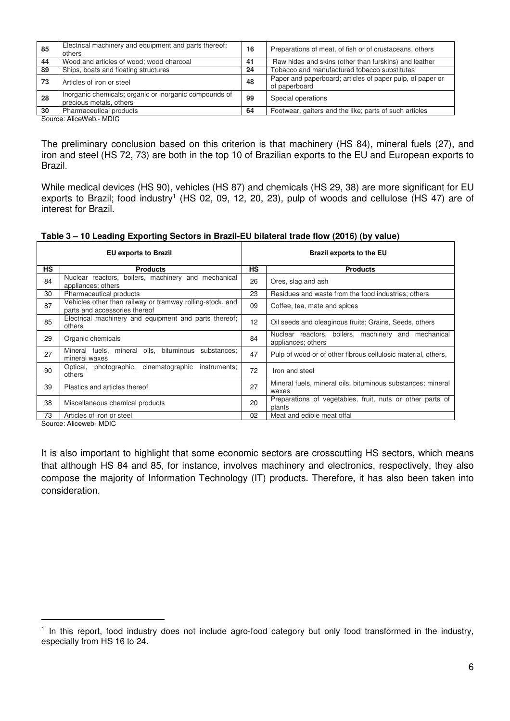| 85 | Electrical machinery and equipment and parts thereof;<br>others                   | 16 | Preparations of meat, of fish or of crustaceans, others                    |
|----|-----------------------------------------------------------------------------------|----|----------------------------------------------------------------------------|
| 44 | Wood and articles of wood; wood charcoal                                          | 41 | Raw hides and skins (other than furskins) and leather                      |
| 89 | Ships, boats and floating structures                                              | 24 | Tobacco and manufactured tobacco substitutes                               |
| 73 | Articles of iron or steel                                                         | 48 | Paper and paperboard; articles of paper pulp, of paper or<br>of paperboard |
| 28 | Inorganic chemicals; organic or inorganic compounds of<br>precious metals, others | 99 | Special operations                                                         |
| 30 | Pharmaceutical products                                                           | 64 | Footwear, gaiters and the like; parts of such articles                     |
|    | Course AlisaWah MDIC                                                              |    |                                                                            |

Source: AliceWeb.- MDIC

The preliminary conclusion based on this criterion is that machinery (HS 84), mineral fuels (27), and iron and steel (HS 72, 73) are both in the top 10 of Brazilian exports to the EU and European exports to Brazil.

While medical devices (HS 90), vehicles (HS 87) and chemicals (HS 29, 38) are more significant for EU exports to Brazil; food industry<sup>1</sup> (HS 02, 09, 12, 20, 23), pulp of woods and cellulose (HS 47) are of interest for Brazil.

**Table 3 – 10 Leading Exporting Sectors in Brazil-EU bilateral trade flow (2016) (by value)** 

| <b>EU exports to Brazil</b> |                                                                                            | <b>Brazil exports to the EU</b> |                                                                           |
|-----------------------------|--------------------------------------------------------------------------------------------|---------------------------------|---------------------------------------------------------------------------|
| <b>HS</b>                   | <b>Products</b>                                                                            | <b>HS</b>                       | <b>Products</b>                                                           |
| 84                          | Nuclear reactors, boilers, machinery and mechanical<br>appliances; others                  | 26                              | Ores, slag and ash                                                        |
| 30                          | Pharmaceutical products                                                                    | 23                              | Residues and waste from the food industries; others                       |
| 87                          | Vehicles other than railway or tramway rolling-stock, and<br>parts and accessories thereof | 09                              | Coffee, tea, mate and spices                                              |
| 85                          | Electrical machinery and equipment and parts thereof;<br>others                            | 12                              | Oil seeds and oleaginous fruits; Grains, Seeds, others                    |
| 29                          | Organic chemicals                                                                          | 84                              | Nuclear reactors, boilers, machinery and mechanical<br>appliances; others |
| 27                          | oils, bituminous substances;<br>Mineral fuels, mineral<br>mineral waxes                    | 47                              | Pulp of wood or of other fibrous cellulosic material, others,             |
| 90                          | cinematographic<br>Optical, photographic,<br>instruments;<br>others                        | 72                              | Iron and steel                                                            |
| 39                          | Plastics and articles thereof                                                              | 27                              | Mineral fuels, mineral oils, bituminous substances; mineral<br>waxes      |
| 38                          | Miscellaneous chemical products                                                            | 20                              | Preparations of vegetables, fruit, nuts or other parts of<br>plants       |
| 73                          | Articles of iron or steel                                                                  | 02                              | Meat and edible meat offal                                                |

Source: Aliceweb- MDIC

 $\overline{a}$ 

It is also important to highlight that some economic sectors are crosscutting HS sectors, which means that although HS 84 and 85, for instance, involves machinery and electronics, respectively, they also compose the majority of Information Technology (IT) products. Therefore, it has also been taken into consideration.

<sup>&</sup>lt;sup>1</sup> In this report, food industry does not include agro-food category but only food transformed in the industry, especially from HS 16 to 24.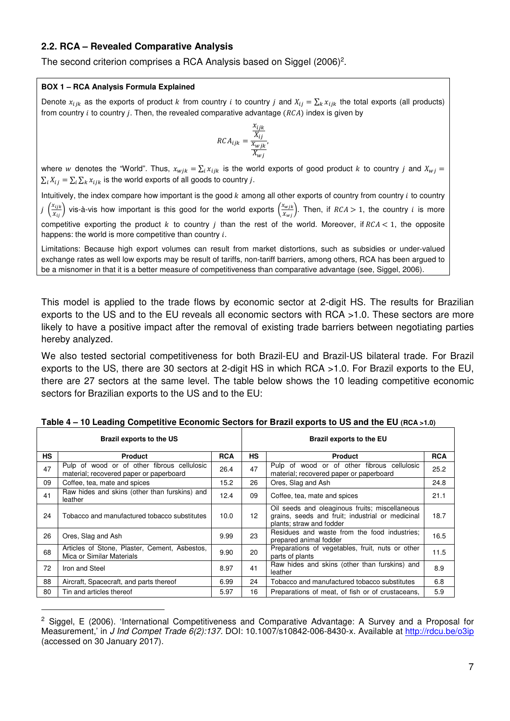#### **2.2. RCA – Revealed Comparative Analysis**

The second criterion comprises a RCA Analysis based on Siggel  $(2006)^2$ .

#### **BOX 1 – RCA Analysis Formula Explained**

 $\overline{a}$ 

Denote  $x_{ijk}$  as the exports of product k from country i to country j and  $X_{ij} = \sum_k x_{ijk}$  the total exports (all products) from country  $i$  to country  $j$ . Then, the revealed comparative advantage ( $RCA$ ) index is given by

$$
RCA_{ijk} = \frac{\frac{x_{ijk}}{X_{ij}}}{\frac{x_{wjk}}{X_{wj}}},
$$

where w denotes the "World". Thus,  $x_{wjk} = \sum_i x_{ijk}$  is the world exports of good product  $k$  to country  $j$  and  $X_{wj} =$  $\sum_i X_{ij} = \sum_i \sum_k x_{ijk}$  is the world exports of all goods to country j.

Intuitively, the index compare how important is the good  $k$  among all other exports of country from country  $i$  to country  $j$   $\left(\frac{x_{ijk}}{x_{ij}}\right)$  vis-à-vis how important is this good for the world exports  $\left(\frac{x_{wjk}}{x_{wj}}\right)$ . Then, if  $RCA > 1$ , the country  $i$  is more competitive exporting the product  $k$  to country  $j$  than the rest of the world. Moreover, if  $RCA < 1$ , the opposite happens: the world is more competitive than country  $i$ .

Limitations: Because high export volumes can result from market distortions, such as subsidies or under-valued exchange rates as well low exports may be result of tariffs, non-tariff barriers, among others, RCA has been argued to be a misnomer in that it is a better measure of competitiveness than comparative advantage (see, Siggel, 2006).

This model is applied to the trade flows by economic sector at 2-digit HS. The results for Brazilian exports to the US and to the EU reveals all economic sectors with RCA >1.0. These sectors are more likely to have a positive impact after the removal of existing trade barriers between negotiating parties hereby analyzed.

We also tested sectorial competitiveness for both Brazil-EU and Brazil-US bilateral trade. For Brazil exports to the US, there are 30 sectors at 2-digit HS in which RCA >1.0. For Brazil exports to the EU, there are 27 sectors at the same level. The table below shows the 10 leading competitive economic sectors for Brazilian exports to the US and to the EU:

| Brazil exports to the US |                                                                                        |            | <b>Brazil exports to the EU</b> |                                                                                                                                |            |  |
|--------------------------|----------------------------------------------------------------------------------------|------------|---------------------------------|--------------------------------------------------------------------------------------------------------------------------------|------------|--|
| <b>HS</b>                | <b>Product</b>                                                                         | <b>RCA</b> | <b>HS</b>                       | <b>Product</b>                                                                                                                 | <b>RCA</b> |  |
| 47                       | Pulp of wood or of other fibrous cellulosic<br>material; recovered paper or paperboard | 26.4       | 47                              | Pulp of wood or of other fibrous cellulosic<br>material; recovered paper or paperboard                                         | 25.2       |  |
| 09                       | Coffee, tea, mate and spices                                                           | 15.2       | 26                              | Ores, Slag and Ash                                                                                                             | 24.8       |  |
| 41                       | Raw hides and skins (other than furskins) and<br>leather                               | 12.4       | 09                              | Coffee, tea, mate and spices                                                                                                   | 21.1       |  |
| 24                       | Tobacco and manufactured tobacco substitutes                                           | 10.0       | $12 \overline{ }$               | Oil seeds and oleaginous fruits; miscellaneous<br>grains, seeds and fruit; industrial or medicinal<br>plants; straw and fodder |            |  |
| 26                       | Ores, Slag and Ash                                                                     | 9.99       | 23                              | Residues and waste from the food industries;<br>prepared animal fodder                                                         | 16.5       |  |
| 68                       | Articles of Stone, Plaster, Cement, Asbestos,<br>Mica or Similar Materials             | 9.90       | 20                              | Preparations of vegetables, fruit, nuts or other<br>parts of plants                                                            | 11.5       |  |
| 72                       | Iron and Steel                                                                         | 8.97       | 41                              | Raw hides and skins (other than furskins) and<br>leather                                                                       | 8.9        |  |
| 88                       | Aircraft, Spacecraft, and parts thereof                                                | 6.99       | 24                              | Tobacco and manufactured tobacco substitutes                                                                                   | 6.8        |  |
| 80                       | Tin and articles thereof                                                               | 5.97       | 16                              | Preparations of meat, of fish or of crustaceans,                                                                               | 5.9        |  |

| (RCA) Table 4 – 10 Leading Competitive Economic Sectors for Brazil exports to US and the EU (RCA >1.0 |  |  |
|-------------------------------------------------------------------------------------------------------|--|--|
|                                                                                                       |  |  |

<sup>&</sup>lt;sup>2</sup> Siggel, E (2006). 'International Competitiveness and Comparative Advantage: A Survey and a Proposal for Measurement,' in *J Ind Compet Trade 6(2):137.* DOI: 10.1007/s10842-006-8430-x. Available at http://rdcu.be/o3ip (accessed on 30 January 2017).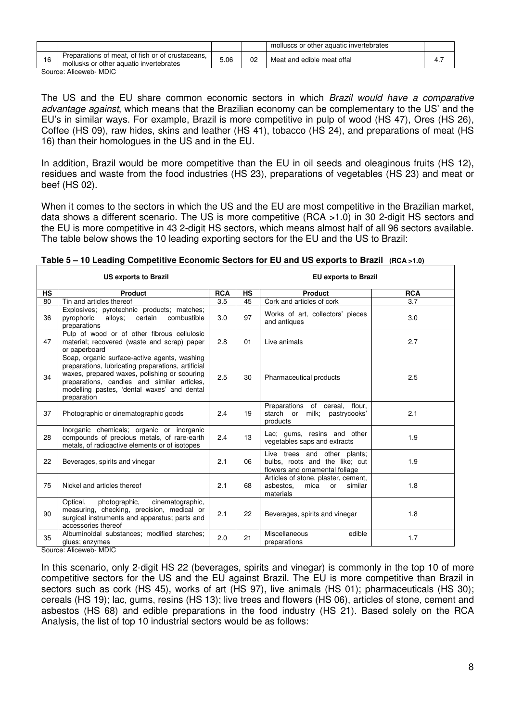|                                                                                             |      |    | molluscs or other aquatic invertebrates |  |
|---------------------------------------------------------------------------------------------|------|----|-----------------------------------------|--|
| Preparations of meat, of fish or of crustaceans,<br>mollusks or other aquatic invertebrates | 5.06 | 02 | Meat and edible meat offal              |  |
| Course Alisough<br>MDLO                                                                     |      |    |                                         |  |

Source: Aliceweb- MDIC

The US and the EU share common economic sectors in which *Brazil would have a comparative advantage against*, which means that the Brazilian economy can be complementary to the US' and the EU's in similar ways. For example, Brazil is more competitive in pulp of wood (HS 47), Ores (HS 26), Coffee (HS 09), raw hides, skins and leather (HS 41), tobacco (HS 24), and preparations of meat (HS 16) than their homologues in the US and in the EU.

In addition, Brazil would be more competitive than the EU in oil seeds and oleaginous fruits (HS 12), residues and waste from the food industries (HS 23), preparations of vegetables (HS 23) and meat or beef (HS 02).

When it comes to the sectors in which the US and the EU are most competitive in the Brazilian market, data shows a different scenario. The US is more competitive (RCA >1.0) in 30 2-digit HS sectors and the EU is more competitive in 43 2-digit HS sectors, which means almost half of all 96 sectors available. The table below shows the 10 leading exporting sectors for the EU and the US to Brazil:

| <b>US exports to Brazil</b> |                                                                                                                                                                                                                                                                 |            | <b>EU exports to Brazil</b> |                                                                                                  |            |
|-----------------------------|-----------------------------------------------------------------------------------------------------------------------------------------------------------------------------------------------------------------------------------------------------------------|------------|-----------------------------|--------------------------------------------------------------------------------------------------|------------|
| <b>HS</b>                   | <b>Product</b>                                                                                                                                                                                                                                                  | <b>RCA</b> | <b>HS</b>                   | Product                                                                                          | <b>RCA</b> |
| 80                          | Tin and articles thereof                                                                                                                                                                                                                                        | 3.5        | 45                          | Cork and articles of cork                                                                        | 3.7        |
| 36                          | Explosives; pyrotechnic products; matches;<br>pyrophoric<br>alloys:<br>certain<br>combustible<br>preparations                                                                                                                                                   | 3.0        | 97                          | Works of art, collectors' pieces<br>and antiques                                                 | 3.0        |
| 47                          | Pulp of wood or of other fibrous cellulosic<br>material; recovered (waste and scrap) paper<br>or paperboard                                                                                                                                                     | 2.8        | 01                          | Live animals                                                                                     | 2.7        |
| 34                          | Soap, organic surface-active agents, washing<br>preparations, lubricating preparations, artificial<br>waxes, prepared waxes, polishing or scouring<br>preparations, candles and similar articles,<br>modelling pastes, 'dental waxes' and dental<br>preparation | 2.5        | 30                          | Pharmaceutical products                                                                          | 2.5        |
| 37                          | Photographic or cinematographic goods                                                                                                                                                                                                                           | 2.4        | 19                          | Preparations of cereal, flour,<br>milk; pastrycooks'<br>starch or<br>products                    | 2.1        |
| 28                          | Inorganic chemicals; organic or inorganic<br>compounds of precious metals, of rare-earth<br>metals, of radioactive elements or of isotopes                                                                                                                      | 2.4        | 13                          | Lac; gums, resins and other<br>vegetables saps and extracts                                      | 1.9        |
| 22                          | Beverages, spirits and vinegar                                                                                                                                                                                                                                  | 2.1        | 06                          | Live trees and other plants;<br>bulbs, roots and the like; cut<br>flowers and ornamental foliage | 1.9        |
| 75                          | Nickel and articles thereof                                                                                                                                                                                                                                     | 2.1        | 68                          | Articles of stone, plaster, cement,<br>asbestos.<br>mica<br>similar<br>or<br>materials           | 1.8        |
| 90                          | photographic,<br>Optical,<br>cinematographic,<br>measuring, checking, precision, medical or<br>surgical instruments and apparatus; parts and<br>accessories thereof                                                                                             | 2.1        | 22                          | Beverages, spirits and vinegar                                                                   | 1.8        |
| 35                          | Albuminoidal substances; modified starches;<br>glues; enzymes                                                                                                                                                                                                   | 2.0        | 21                          | Miscellaneous<br>edible<br>preparations                                                          | 1.7        |

| Table 5 - 10 Leading Competitive Economic Sectors for EU and US exports to Brazil (RCA >1.0) |  |
|----------------------------------------------------------------------------------------------|--|
|----------------------------------------------------------------------------------------------|--|

Source: Aliceweb- MDIC

In this scenario, only 2-digit HS 22 (beverages, spirits and vinegar) is commonly in the top 10 of more competitive sectors for the US and the EU against Brazil. The EU is more competitive than Brazil in sectors such as cork (HS 45), works of art (HS 97), live animals (HS 01); pharmaceuticals (HS 30); cereals (HS 19); lac, gums, resins (HS 13); live trees and flowers (HS 06), articles of stone, cement and asbestos (HS 68) and edible preparations in the food industry (HS 21). Based solely on the RCA Analysis, the list of top 10 industrial sectors would be as follows: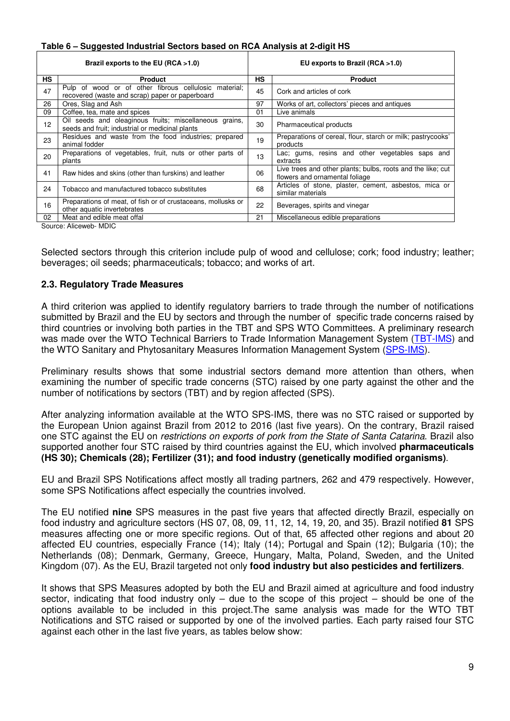| Table 6 - Suggested Industrial Sectors based on RCA Analysis at 2-digit HS |  |  |
|----------------------------------------------------------------------------|--|--|
|                                                                            |  |  |

| Brazil exports to the EU (RCA $>1.0$ ) |                                                                                                           |    | EU exports to Brazil $(RCA > 1.0)$                                                            |  |  |  |
|----------------------------------------|-----------------------------------------------------------------------------------------------------------|----|-----------------------------------------------------------------------------------------------|--|--|--|
| <b>HS</b>                              | <b>Product</b>                                                                                            | HS | <b>Product</b>                                                                                |  |  |  |
| 47                                     | Pulp of wood or of other fibrous cellulosic material;<br>recovered (waste and scrap) paper or paperboard  | 45 | Cork and articles of cork                                                                     |  |  |  |
| 26                                     | Ores, Slag and Ash                                                                                        | 97 | Works of art, collectors' pieces and antiques                                                 |  |  |  |
| 09                                     | Coffee, tea, mate and spices                                                                              | 01 | Live animals                                                                                  |  |  |  |
| 12                                     | Oil seeds and oleaginous fruits; miscellaneous grains,<br>seeds and fruit; industrial or medicinal plants | 30 | Pharmaceutical products                                                                       |  |  |  |
| 23                                     | Residues and waste from the food industries; prepared<br>animal fodder                                    | 19 | Preparations of cereal, flour, starch or milk; pastrycooks'<br>products                       |  |  |  |
| 20                                     | Preparations of vegetables, fruit, nuts or other parts of<br>plants                                       | 13 | Lac; gums, resins and other vegetables saps and<br>extracts                                   |  |  |  |
| 41                                     | Raw hides and skins (other than furskins) and leather                                                     | 06 | Live trees and other plants; bulbs, roots and the like; cut<br>flowers and ornamental foliage |  |  |  |
| 24                                     | Tobacco and manufactured tobacco substitutes                                                              | 68 | Articles of stone, plaster, cement, asbestos, mica or<br>similar materials                    |  |  |  |
| 16                                     | Preparations of meat, of fish or of crustaceans, mollusks or<br>other aquatic invertebrates               | 22 | Beverages, spirits and vinegar                                                                |  |  |  |
| 02 <sup>2</sup>                        | Meat and edible meat offal                                                                                | 21 | Miscellaneous edible preparations                                                             |  |  |  |
|                                        | Source: Alicowob MDIC                                                                                     |    |                                                                                               |  |  |  |

Source: Aliceweb- MDIC

Selected sectors through this criterion include pulp of wood and cellulose; cork; food industry; leather; beverages; oil seeds; pharmaceuticals; tobacco; and works of art.

#### **2.3. Regulatory Trade Measures**

A third criterion was applied to identify regulatory barriers to trade through the number of notifications submitted by Brazil and the EU by sectors and through the number of specific trade concerns raised by third countries or involving both parties in the TBT and SPS WTO Committees. A preliminary research was made over the WTO Technical Barriers to Trade Information Management System (TBT-IMS) and the WTO Sanitary and Phytosanitary Measures Information Management System (SPS-IMS).

Preliminary results shows that some industrial sectors demand more attention than others, when examining the number of specific trade concerns (STC) raised by one party against the other and the number of notifications by sectors (TBT) and by region affected (SPS).

After analyzing information available at the WTO SPS-IMS, there was no STC raised or supported by the European Union against Brazil from 2012 to 2016 (last five years). On the contrary, Brazil raised one STC against the EU on *restrictions on exports of pork from the State of Santa Catarina*. Brazil also supported another four STC raised by third countries against the EU, which involved **pharmaceuticals (HS 30); Chemicals (28); Fertilizer (31); and food industry (genetically modified organisms)**.

EU and Brazil SPS Notifications affect mostly all trading partners, 262 and 479 respectively. However, some SPS Notifications affect especially the countries involved.

The EU notified **nine** SPS measures in the past five years that affected directly Brazil, especially on food industry and agriculture sectors (HS 07, 08, 09, 11, 12, 14, 19, 20, and 35). Brazil notified **81** SPS measures affecting one or more specific regions. Out of that, 65 affected other regions and about 20 affected EU countries, especially France (14); Italy (14); Portugal and Spain (12); Bulgaria (10); the Netherlands (08); Denmark, Germany, Greece, Hungary, Malta, Poland, Sweden, and the United Kingdom (07). As the EU, Brazil targeted not only **food industry but also pesticides and fertilizers**.

It shows that SPS Measures adopted by both the EU and Brazil aimed at agriculture and food industry sector, indicating that food industry only – due to the scope of this project – should be one of the options available to be included in this project.The same analysis was made for the WTO TBT Notifications and STC raised or supported by one of the involved parties. Each party raised four STC against each other in the last five years, as tables below show: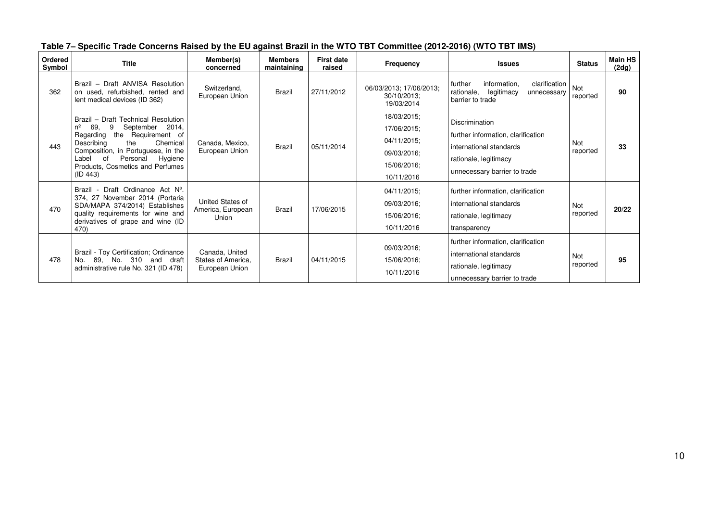| Ordered<br>Symbol | <b>Title</b>                                                                                                                                                                                                                                                             | Member(s)<br>concerned                                 | <b>Members</b><br>maintaining | <b>First date</b><br>raised | Frequency                                                                             | <b>Issues</b>                                                                                                                            | <b>Status</b>          | <b>Main HS</b><br>(2dg) |
|-------------------|--------------------------------------------------------------------------------------------------------------------------------------------------------------------------------------------------------------------------------------------------------------------------|--------------------------------------------------------|-------------------------------|-----------------------------|---------------------------------------------------------------------------------------|------------------------------------------------------------------------------------------------------------------------------------------|------------------------|-------------------------|
| 362               | Brazil - Draft ANVISA Resolution<br>on used, refurbished, rented and<br>lent medical devices (ID 362)                                                                                                                                                                    | Switzerland.<br>European Union                         | Brazil                        | 27/11/2012                  | 06/03/2013; 17/06/2013;<br>30/10/2013:<br>19/03/2014                                  | further<br>information,<br>clarification<br>rationale,<br>legitimacy<br>unnecessary<br>barrier to trade                                  | Not<br>reported        | 90                      |
| 443               | Brazil - Draft Technical Resolution<br>September 2014,<br>69.<br>9<br>nº<br>the Requirement of<br>Regarding<br>Describing<br>the<br>Chemical<br>Composition, in Portuguese, in the<br>Personal<br>Label<br>of<br>Hygiene<br>Products, Cosmetics and Perfumes<br>(ID 443) | Canada, Mexico,<br>European Union                      | Brazil                        | 05/11/2014                  | 18/03/2015;<br>17/06/2015;<br>04/11/2015;<br>09/03/2016;<br>15/06/2016;<br>10/11/2016 | Discrimination<br>further information, clarification<br>international standards<br>rationale, legitimacy<br>unnecessary barrier to trade | <b>Not</b><br>reported | 33                      |
| 470               | Brazil - Draft Ordinance Act Nº.<br>374, 27 November 2014 (Portaria<br>SDA/MAPA 374/2014) Establishes<br>quality requirements for wine and<br>derivatives of grape and wine (ID<br>470)                                                                                  | United States of<br>America, European<br>Union         | Brazil                        | 17/06/2015                  | 04/11/2015;<br>09/03/2016;<br>15/06/2016;<br>10/11/2016                               | further information, clarification<br>international standards<br>rationale, legitimacy<br>transparency                                   | <b>Not</b><br>reported | 20/22                   |
| 478               | Brazil - Toy Certification; Ordinance<br>89, No. 310 and draft<br>No.<br>administrative rule No. 321 (ID 478)                                                                                                                                                            | Canada, United<br>States of America.<br>European Union | <b>Brazil</b>                 | 04/11/2015                  | 09/03/2016;<br>15/06/2016;<br>10/11/2016                                              | further information, clarification<br>international standards<br>rationale, legitimacy<br>unnecessary barrier to trade                   | <b>Not</b><br>reported | 95                      |

|  | Table 7– Specific Trade Concerns Raised by the EU against Brazil in the WTO TBT Committee (2012-2016) (WTO TBT IMS) |  |
|--|---------------------------------------------------------------------------------------------------------------------|--|
|  |                                                                                                                     |  |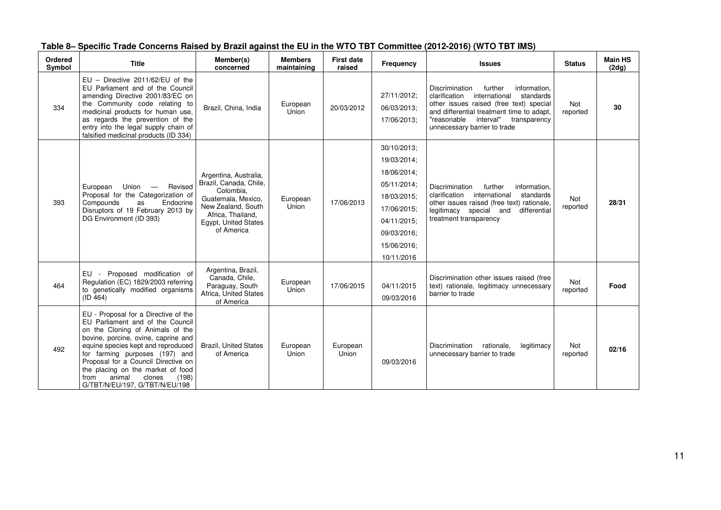| Ordered<br>Symbol | <b>Title</b>                                                                                                                                                                                                                                                                                                                                                                   | Member(s)<br>concerned                                                                                                                                              | <b>Members</b><br>maintaining | <b>First date</b><br>raised | Frequency                                                                                                                                         | <b>Issues</b>                                                                                                                                                                                                                                                | <b>Status</b>   | <b>Main HS</b><br>(2dg) |
|-------------------|--------------------------------------------------------------------------------------------------------------------------------------------------------------------------------------------------------------------------------------------------------------------------------------------------------------------------------------------------------------------------------|---------------------------------------------------------------------------------------------------------------------------------------------------------------------|-------------------------------|-----------------------------|---------------------------------------------------------------------------------------------------------------------------------------------------|--------------------------------------------------------------------------------------------------------------------------------------------------------------------------------------------------------------------------------------------------------------|-----------------|-------------------------|
| 334               | $EU - Directive 2011/62/EU of the$<br>EU Parliament and of the Council<br>amending Directive 2001/83/EC on<br>the Community code relating to<br>medicinal products for human use,<br>as regards the prevention of the<br>entry into the legal supply chain of<br>falsified medicinal products (ID 334)                                                                         | Brazil, China, India                                                                                                                                                | European<br>Union             | 20/03/2012                  | 27/11/2012:<br>06/03/2013;<br>17/06/2013;                                                                                                         | Discrimination<br>further<br>information.<br>international<br>standards<br>clarification<br>other issues raised (free text) special<br>and differential treatment time to adapt,<br>"reasonable<br>interval"<br>transparency<br>unnecessary barrier to trade | Not<br>reported | 30                      |
| 393               | Union —<br>European<br>Revised<br>Proposal for the Categorization of<br>Endocrine<br>Compounds<br>as<br>Disruptors of 19 February 2013 by<br>DG Environment (ID 393)                                                                                                                                                                                                           | Argentina, Australia,<br>Brazil, Canada, Chile,<br>Colombia.<br>Guatemala, Mexico,<br>New Zealand, South<br>Africa. Thailand.<br>Egypt, United States<br>of America | European<br>Union             | 17/06/2013                  | 30/10/2013;<br>19/03/2014:<br>18/06/2014:<br>05/11/2014;<br>18/03/2015;<br>17/06/2015;<br>04/11/2015:<br>09/03/2016;<br>15/06/2016;<br>10/11/2016 | <b>Discrimination</b><br>further<br>information,<br>clarification international<br>standards<br>other issues raised (free text) rationale,<br>legitimacy special and<br>differential<br>treatment transparency                                               | Not<br>reported | 28/31                   |
| 464               | EU - Proposed modification of<br>Regulation (EC) 1829/2003 referring<br>to genetically modified organisms<br>(ID 464)                                                                                                                                                                                                                                                          | Argentina, Brazil,<br>Canada, Chile,<br>Paraguay, South<br>Africa, United States<br>of America                                                                      | European<br>Union             | 17/06/2015                  | 04/11/2015<br>09/03/2016                                                                                                                          | Discrimination other issues raised (free<br>text) rationale, legitimacy unnecessary<br>barrier to trade                                                                                                                                                      | Not<br>reported | Food                    |
| 492               | EU - Proposal for a Directive of the<br>EU Parliament and of the Council<br>on the Cloning of Animals of the<br>bovine, porcine, ovine, caprine and<br>equine species kept and reproduced<br>for farming purposes (197) and<br>Proposal for a Council Directive on<br>the placing on the market of food<br>animal<br>clones<br>(198)<br>from<br>G/TBT/N/EU/197, G/TBT/N/EU/198 | <b>Brazil, United States</b><br>of America                                                                                                                          | European<br>Union             | European<br>Union           | 09/03/2016                                                                                                                                        | Discrimination<br>legitimacy<br>rationale,<br>unnecessary barrier to trade                                                                                                                                                                                   | Not<br>reported | 02/16                   |

#### **Table 8– Specific Trade Concerns Raised by Brazil against the EU in the WTO TBT Committee (2012-2016) (WTO TBT IMS)**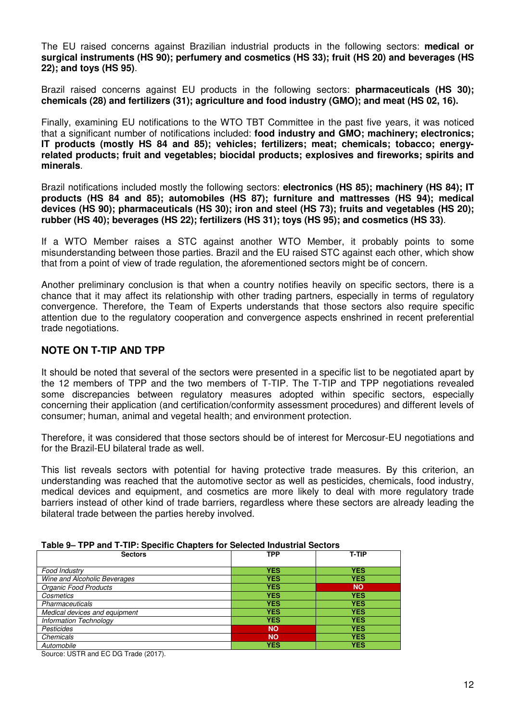The EU raised concerns against Brazilian industrial products in the following sectors: **medical or surgical instruments (HS 90); perfumery and cosmetics (HS 33); fruit (HS 20) and beverages (HS 22); and toys (HS 95)**.

Brazil raised concerns against EU products in the following sectors: **pharmaceuticals (HS 30); chemicals (28) and fertilizers (31); agriculture and food industry (GMO); and meat (HS 02, 16).** 

Finally, examining EU notifications to the WTO TBT Committee in the past five years, it was noticed that a significant number of notifications included: **food industry and GMO; machinery; electronics; IT products (mostly HS 84 and 85); vehicles; fertilizers; meat; chemicals; tobacco; energyrelated products; fruit and vegetables; biocidal products; explosives and fireworks; spirits and minerals**.

Brazil notifications included mostly the following sectors: **electronics (HS 85); machinery (HS 84); IT products (HS 84 and 85); automobiles (HS 87); furniture and mattresses (HS 94); medical devices (HS 90); pharmaceuticals (HS 30); iron and steel (HS 73); fruits and vegetables (HS 20); rubber (HS 40); beverages (HS 22); fertilizers (HS 31); toys (HS 95); and cosmetics (HS 33)**.

If a WTO Member raises a STC against another WTO Member, it probably points to some misunderstanding between those parties. Brazil and the EU raised STC against each other, which show that from a point of view of trade regulation, the aforementioned sectors might be of concern.

Another preliminary conclusion is that when a country notifies heavily on specific sectors, there is a chance that it may affect its relationship with other trading partners, especially in terms of regulatory convergence. Therefore, the Team of Experts understands that those sectors also require specific attention due to the regulatory cooperation and convergence aspects enshrined in recent preferential trade negotiations.

#### **NOTE ON T-TIP AND TPP**

It should be noted that several of the sectors were presented in a specific list to be negotiated apart by the 12 members of TPP and the two members of T-TIP. The T-TIP and TPP negotiations revealed some discrepancies between regulatory measures adopted within specific sectors, especially concerning their application (and certification/conformity assessment procedures) and different levels of consumer; human, animal and vegetal health; and environment protection.

Therefore, it was considered that those sectors should be of interest for Mercosur-EU negotiations and for the Brazil-EU bilateral trade as well.

This list reveals sectors with potential for having protective trade measures. By this criterion, an understanding was reached that the automotive sector as well as pesticides, chemicals, food industry, medical devices and equipment, and cosmetics are more likely to deal with more regulatory trade barriers instead of other kind of trade barriers, regardless where these sectors are already leading the bilateral trade between the parties hereby involved.

| .<br>$1.1.1$ with $1.1.1.1$ approxime employed for ecological measurements of $\sim$ |            |            |  |  |  |  |
|--------------------------------------------------------------------------------------|------------|------------|--|--|--|--|
| <b>Sectors</b>                                                                       | <b>TPP</b> | T-TIP      |  |  |  |  |
| Food Industry                                                                        | <b>YES</b> | <b>YES</b> |  |  |  |  |
| Wine and Alcoholic Beverages                                                         | <b>YES</b> | <b>YES</b> |  |  |  |  |
| Organic Food Products                                                                | <b>YES</b> | <b>NO</b>  |  |  |  |  |
| Cosmetics                                                                            | <b>YES</b> | <b>YES</b> |  |  |  |  |
| Pharmaceuticals                                                                      | <b>YES</b> | <b>YES</b> |  |  |  |  |
| Medical devices and equipment                                                        | <b>YES</b> | <b>YES</b> |  |  |  |  |
| Information Technology                                                               | <b>YES</b> | <b>YES</b> |  |  |  |  |
| <b>Pesticides</b>                                                                    | <b>NO</b>  | <b>YES</b> |  |  |  |  |
| Chemicals                                                                            | <b>NO</b>  | <b>YES</b> |  |  |  |  |
| Automobile                                                                           | <b>YES</b> | <b>YES</b> |  |  |  |  |

**Table 9– TPP and T-TIP: Specific Chapters for Selected Industrial Sectors** 

Source: USTR and EC DG Trade (2017).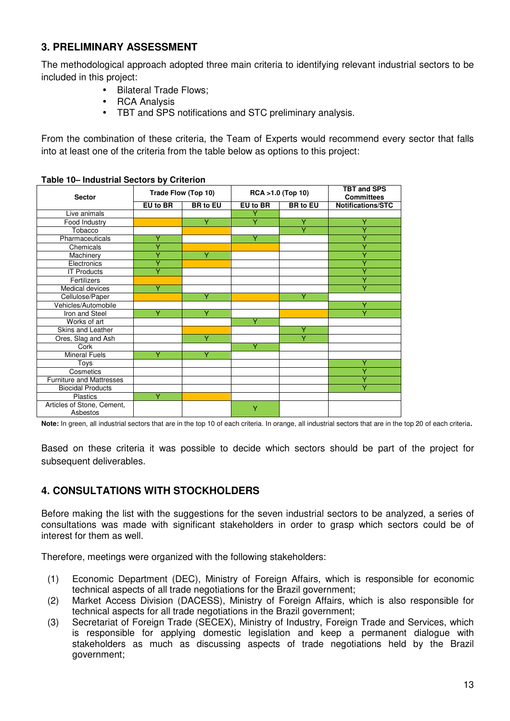### **3. PRELIMINARY ASSESSMENT**

The methodological approach adopted three main criteria to identifying relevant industrial sectors to be included in this project:

- Bilateral Trade Flows;
- RCA Analysis
- TBT and SPS notifications and STC preliminary analysis.

From the combination of these criteria, the Team of Experts would recommend every sector that falls into at least one of the criteria from the table below as options to this project:

| <b>Sector</b>                          | Trade Flow (Top 10) |                 | RCA > 1.0 (Top 10) |                 | <b>TBT and SPS</b><br><b>Committees</b> |
|----------------------------------------|---------------------|-----------------|--------------------|-----------------|-----------------------------------------|
|                                        | EU to BR            | <b>BR</b> to EU | EU to BR           | <b>BR</b> to EU | Notifications/STC                       |
| Live animals                           |                     |                 |                    |                 |                                         |
| Food Industry                          |                     | Υ               |                    | Υ               |                                         |
| Tobacco                                |                     |                 |                    | v               |                                         |
| Pharmaceuticals                        | Υ                   |                 | Υ                  |                 |                                         |
| Chemicals                              |                     |                 |                    |                 |                                         |
| Machinery                              |                     | Y               |                    |                 |                                         |
| Electronics                            |                     |                 |                    |                 |                                         |
| $\overline{IT}$ Products               | v                   |                 |                    |                 |                                         |
| Fertilizers                            |                     |                 |                    |                 |                                         |
| Medical devices                        | Y                   |                 |                    |                 |                                         |
| Cellulose/Paper                        |                     | v               |                    | v               |                                         |
| Vehicles/Automobile                    |                     |                 |                    |                 | v                                       |
| Iron and Steel                         | v                   | ٧               |                    |                 |                                         |
| Works of art                           |                     |                 | ٧                  |                 |                                         |
| Skins and Leather                      |                     |                 |                    | Υ               |                                         |
| Ores, Slag and Ash                     |                     | Ÿ               |                    | v               |                                         |
| Cork                                   |                     |                 | $\checkmark$       |                 |                                         |
| <b>Mineral Fuels</b>                   | Y                   | Y               |                    |                 |                                         |
| Toys                                   |                     |                 |                    |                 | ٧                                       |
| Cosmetics                              |                     |                 |                    |                 |                                         |
| <b>Furniture and Mattresses</b>        |                     |                 |                    |                 |                                         |
| <b>Biocidal Products</b>               |                     |                 |                    |                 | v                                       |
| <b>Plastics</b>                        | Y                   |                 |                    |                 |                                         |
| Articles of Stone, Cement,<br>Asbestos |                     |                 | Ÿ                  |                 |                                         |

**Table 10– Industrial Sectors by Criterion** 

**Note:** In green, all industrial sectors that are in the top 10 of each criteria. In orange, all industrial sectors that are in the top 20 of each criteria.

Based on these criteria it was possible to decide which sectors should be part of the project for subsequent deliverables.

## **4. CONSULTATIONS WITH STOCKHOLDERS**

Before making the list with the suggestions for the seven industrial sectors to be analyzed, a series of consultations was made with significant stakeholders in order to grasp which sectors could be of interest for them as well.

Therefore, meetings were organized with the following stakeholders:

- (1) Economic Department (DEC), Ministry of Foreign Affairs, which is responsible for economic technical aspects of all trade negotiations for the Brazil government;
- (2) Market Access Division (DACESS), Ministry of Foreign Affairs, which is also responsible for technical aspects for all trade negotiations in the Brazil government;
- (3) Secretariat of Foreign Trade (SECEX), Ministry of Industry, Foreign Trade and Services, which is responsible for applying domestic legislation and keep a permanent dialogue with stakeholders as much as discussing aspects of trade negotiations held by the Brazil government;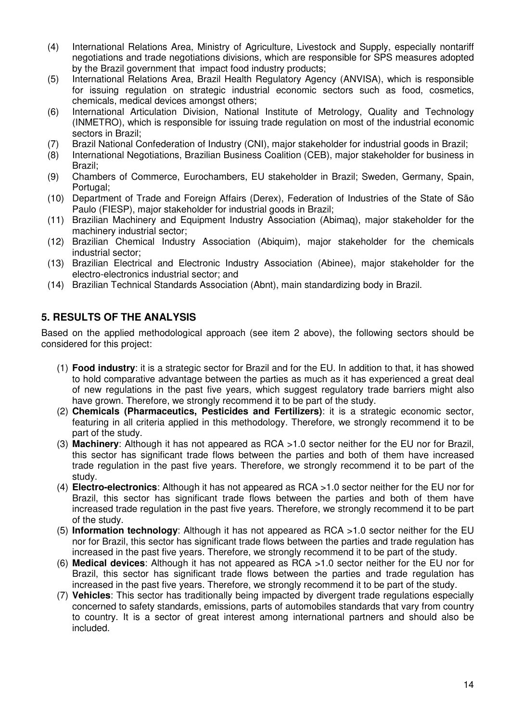- (4) International Relations Area, Ministry of Agriculture, Livestock and Supply, especially nontariff negotiations and trade negotiations divisions, which are responsible for SPS measures adopted by the Brazil government that impact food industry products;
- (5) International Relations Area, Brazil Health Regulatory Agency (ANVISA), which is responsible for issuing regulation on strategic industrial economic sectors such as food, cosmetics, chemicals, medical devices amongst others;
- (6) International Articulation Division, National Institute of Metrology, Quality and Technology (INMETRO), which is responsible for issuing trade regulation on most of the industrial economic sectors in Brazil;
- (7) Brazil National Confederation of Industry (CNI), major stakeholder for industrial goods in Brazil;
- (8) International Negotiations, Brazilian Business Coalition (CEB), major stakeholder for business in Brazil;
- (9) Chambers of Commerce, Eurochambers, EU stakeholder in Brazil; Sweden, Germany, Spain, Portugal:
- (10) Department of Trade and Foreign Affairs (Derex), Federation of Industries of the State of São Paulo (FIESP), major stakeholder for industrial goods in Brazil;
- (11) Brazilian Machinery and Equipment Industry Association (Abimaq), major stakeholder for the machinery industrial sector;
- (12) Brazilian Chemical Industry Association (Abiquim), major stakeholder for the chemicals industrial sector;
- (13) Brazilian Electrical and Electronic Industry Association (Abinee), major stakeholder for the electro-electronics industrial sector; and
- (14) Brazilian Technical Standards Association (Abnt), main standardizing body in Brazil.

### **5. RESULTS OF THE ANALYSIS**

Based on the applied methodological approach (see item 2 above), the following sectors should be considered for this project:

- (1) **Food industry**: it is a strategic sector for Brazil and for the EU. In addition to that, it has showed to hold comparative advantage between the parties as much as it has experienced a great deal of new regulations in the past five years, which suggest regulatory trade barriers might also have grown. Therefore, we strongly recommend it to be part of the study.
- (2) **Chemicals (Pharmaceutics, Pesticides and Fertilizers)**: it is a strategic economic sector, featuring in all criteria applied in this methodology. Therefore, we strongly recommend it to be part of the study.
- (3) **Machinery**: Although it has not appeared as RCA >1.0 sector neither for the EU nor for Brazil, this sector has significant trade flows between the parties and both of them have increased trade regulation in the past five years. Therefore, we strongly recommend it to be part of the study.
- (4) **Electro-electronics**: Although it has not appeared as RCA >1.0 sector neither for the EU nor for Brazil, this sector has significant trade flows between the parties and both of them have increased trade regulation in the past five years. Therefore, we strongly recommend it to be part of the study.
- (5) **Information technology**: Although it has not appeared as RCA >1.0 sector neither for the EU nor for Brazil, this sector has significant trade flows between the parties and trade regulation has increased in the past five years. Therefore, we strongly recommend it to be part of the study.
- (6) **Medical devices**: Although it has not appeared as RCA >1.0 sector neither for the EU nor for Brazil, this sector has significant trade flows between the parties and trade regulation has increased in the past five years. Therefore, we strongly recommend it to be part of the study.
- (7) **Vehicles**: This sector has traditionally being impacted by divergent trade regulations especially concerned to safety standards, emissions, parts of automobiles standards that vary from country to country. It is a sector of great interest among international partners and should also be included.